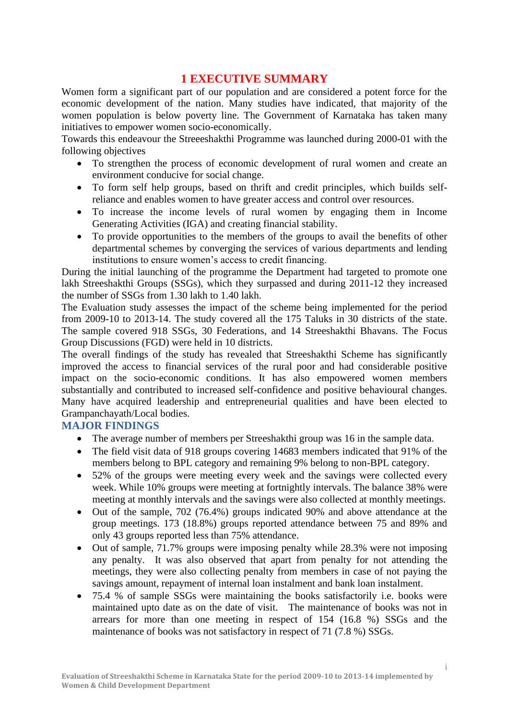# **1 EXECUTIVE SUMMARY**

Women form a significant part of our population and are considered a potent force for the economic development of the nation. Many studies have indicated, that majority of the women population is below poverty line. The Government of Karnataka has taken many initiatives to empower women socio-economically.

Towards this endeavour the Streeeshakthi Programme was launched during 2000-01 with the following objectives

- To strengthen the process of economic development of rural women and create an environment conducive for social change.
- To form self help groups, based on thrift and credit principles, which builds selfreliance and enables women to have greater access and control over resources.
- To increase the income levels of rural women by engaging them in Income Generating Activities (IGA) and creating financial stability.
- To provide opportunities to the members of the groups to avail the benefits of other departmental schemes by converging the services of various departments and lending institutions to ensure women's access to credit financing.

During the initial launching of the programme the Department had targeted to promote one lakh Streeshakthi Groups (SSGs), which they surpassed and during 2011-12 they increased the number of SSGs from 1.30 lakh to 1.40 lakh.

The Evaluation study assesses the impact of the scheme being implemented for the period from 2009-10 to 2013-14. The study covered all the 175 Taluks in 30 districts of the state. The sample covered 918 SSGs, 30 Federations, and 14 Streeshakthi Bhavans. The Focus Group Discussions (FGD) were held in 10 districts.

The overall findings of the study has revealed that Streeshakthi Scheme has significantly improved the access to financial services of the rural poor and had considerable positive impact on the socio-economic conditions. It has also empowered women members substantially and contributed to increased self-confidence and positive behavioural changes. Many have acquired leadership and entrepreneurial qualities and have been elected to Grampanchayath/Local bodies.

#### **MAJOR FINDINGS**

- The average number of members per Streeshakthi group was 16 in the sample data.
- The field visit data of 918 groups covering 14683 members indicated that 91% of the members belong to BPL category and remaining 9% belong to non-BPL category.
- 52% of the groups were meeting every week and the savings were collected every week. While 10% groups were meeting at fortnightly intervals. The balance 38% were meeting at monthly intervals and the savings were also collected at monthly meetings.
- Out of the sample, 702 (76.4%) groups indicated 90% and above attendance at the group meetings. 173 (18.8%) groups reported attendance between 75 and 89% and only 43 groups reported less than 75% attendance.
- Out of sample, 71.7% groups were imposing penalty while 28.3% were not imposing any penalty. It was also observed that apart from penalty for not attending the meetings, they were also collecting penalty from members in case of not paying the savings amount, repayment of internal loan instalment and bank loan instalment.
- 75.4 % of sample SSGs were maintaining the books satisfactorily i.e. books were maintained upto date as on the date of visit. The maintenance of books was not in arrears for more than one meeting in respect of 154 (16.8 %) SSGs and the maintenance of books was not satisfactory in respect of 71 (7.8 %) SSGs.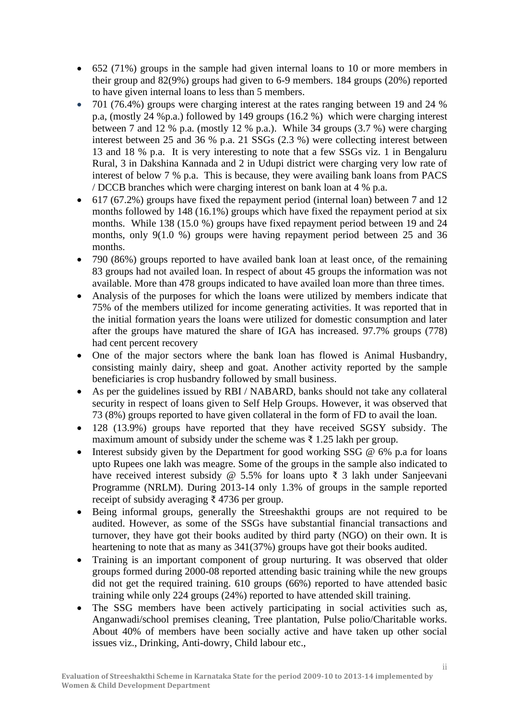- 652 (71%) groups in the sample had given internal loans to 10 or more members in their group and 82(9%) groups had given to 6-9 members. 184 groups (20%) reported to have given internal loans to less than 5 members.
- 701 (76.4%) groups were charging interest at the rates ranging between 19 and 24 % p.a, (mostly 24 %p.a.) followed by 149 groups (16.2 %) which were charging interest between 7 and 12 % p.a. (mostly 12 % p.a.). While 34 groups (3.7 %) were charging interest between 25 and 36 % p.a. 21 SSGs (2.3 %) were collecting interest between 13 and 18 % p.a. It is very interesting to note that a few SSGs viz. 1 in Bengaluru Rural, 3 in Dakshina Kannada and 2 in Udupi district were charging very low rate of interest of below 7 % p.a. This is because, they were availing bank loans from PACS / DCCB branches which were charging interest on bank loan at 4 % p.a.
- 617 (67.2%) groups have fixed the repayment period (internal loan) between 7 and 12 months followed by 148 (16.1%) groups which have fixed the repayment period at six months. While 138 (15.0 %) groups have fixed repayment period between 19 and 24 months, only 9(1.0 %) groups were having repayment period between 25 and 36 months.
- 790 (86%) groups reported to have availed bank loan at least once, of the remaining 83 groups had not availed loan. In respect of about 45 groups the information was not available. More than 478 groups indicated to have availed loan more than three times.
- Analysis of the purposes for which the loans were utilized by members indicate that 75% of the members utilized for income generating activities. It was reported that in the initial formation years the loans were utilized for domestic consumption and later after the groups have matured the share of IGA has increased. 97.7% groups (778) had cent percent recovery
- One of the major sectors where the bank loan has flowed is Animal Husbandry, consisting mainly dairy, sheep and goat. Another activity reported by the sample beneficiaries is crop husbandry followed by small business.
- As per the guidelines issued by RBI / NABARD, banks should not take any collateral security in respect of loans given to Self Help Groups. However, it was observed that 73 (8%) groups reported to have given collateral in the form of FD to avail the loan.
- 128 (13.9%) groups have reported that they have received SGSY subsidy. The maximum amount of subsidy under the scheme was ₹ 1.25 lakh per group.
- Interest subsidy given by the Department for good working SSG  $\omega$  6% p.a for loans upto Rupees one lakh was meagre. Some of the groups in the sample also indicated to have received interest subsidy @ 5.5% for loans upto ₹ 3 lakh under Sanjeevani Programme (NRLM). During 2013-14 only 1.3% of groups in the sample reported receipt of subsidy averaging ₹ 4736 per group.
- Being informal groups, generally the Streeshakthi groups are not required to be audited. However, as some of the SSGs have substantial financial transactions and turnover, they have got their books audited by third party (NGO) on their own. It is heartening to note that as many as 341(37%) groups have got their books audited.
- Training is an important component of group nurturing. It was observed that older groups formed during 2000-08 reported attending basic training while the new groups did not get the required training. 610 groups (66%) reported to have attended basic training while only 224 groups (24%) reported to have attended skill training.
- The SSG members have been actively participating in social activities such as, Anganwadi/school premises cleaning, Tree plantation, Pulse polio/Charitable works. About 40% of members have been socially active and have taken up other social issues viz., Drinking, Anti-dowry, Child labour etc.,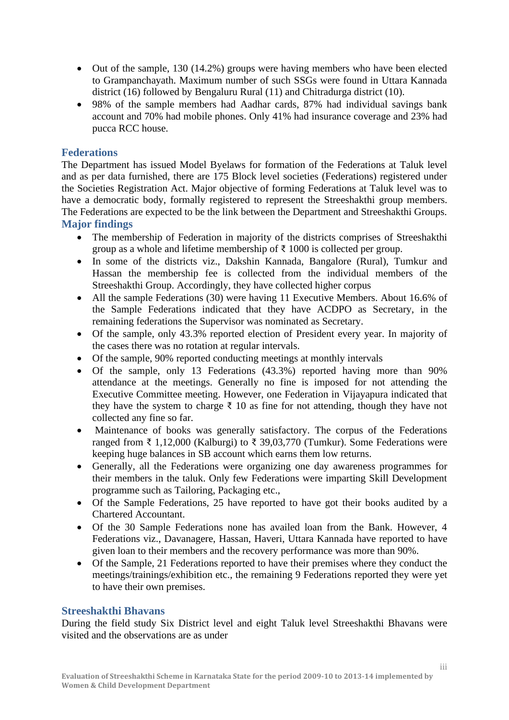- Out of the sample, 130 (14.2%) groups were having members who have been elected to Grampanchayath. Maximum number of such SSGs were found in Uttara Kannada district (16) followed by Bengaluru Rural (11) and Chitradurga district (10).
- 98% of the sample members had Aadhar cards, 87% had individual savings bank account and 70% had mobile phones. Only 41% had insurance coverage and 23% had pucca RCC house.

#### **Federations**

The Department has issued Model Byelaws for formation of the Federations at Taluk level and as per data furnished, there are 175 Block level societies (Federations) registered under the Societies Registration Act. Major objective of forming Federations at Taluk level was to have a democratic body, formally registered to represent the Streeshakthi group members. The Federations are expected to be the link between the Department and Streeshakthi Groups. **Major findings**

- The membership of Federation in majority of the districts comprises of Streeshakthi group as a whole and lifetime membership of  $\bar{\tau}$  1000 is collected per group.
- In some of the districts viz., Dakshin Kannada, Bangalore (Rural), Tumkur and Hassan the membership fee is collected from the individual members of the Streeshakthi Group. Accordingly, they have collected higher corpus
- All the sample Federations (30) were having 11 Executive Members. About 16.6% of the Sample Federations indicated that they have ACDPO as Secretary, in the remaining federations the Supervisor was nominated as Secretary.
- Of the sample, only 43.3% reported election of President every year. In majority of the cases there was no rotation at regular intervals.
- Of the sample, 90% reported conducting meetings at monthly intervals
- Of the sample, only 13 Federations (43.3%) reported having more than 90% attendance at the meetings. Generally no fine is imposed for not attending the Executive Committee meeting. However, one Federation in Vijayapura indicated that they have the system to charge  $\bar{\tau}$  10 as fine for not attending, though they have not collected any fine so far.
- Maintenance of books was generally satisfactory. The corpus of the Federations ranged from ₹ 1,12,000 (Kalburgi) to ₹ 39,03,770 (Tumkur). Some Federations were keeping huge balances in SB account which earns them low returns.
- Generally, all the Federations were organizing one day awareness programmes for their members in the taluk. Only few Federations were imparting Skill Development programme such as Tailoring, Packaging etc.,
- Of the Sample Federations, 25 have reported to have got their books audited by a Chartered Accountant.
- Of the 30 Sample Federations none has availed loan from the Bank. However, 4 Federations viz., Davanagere, Hassan, Haveri, Uttara Kannada have reported to have given loan to their members and the recovery performance was more than 90%.
- Of the Sample, 21 Federations reported to have their premises where they conduct the meetings/trainings/exhibition etc., the remaining 9 Federations reported they were yet to have their own premises.

#### **Streeshakthi Bhavans**

During the field study Six District level and eight Taluk level Streeshakthi Bhavans were visited and the observations are as under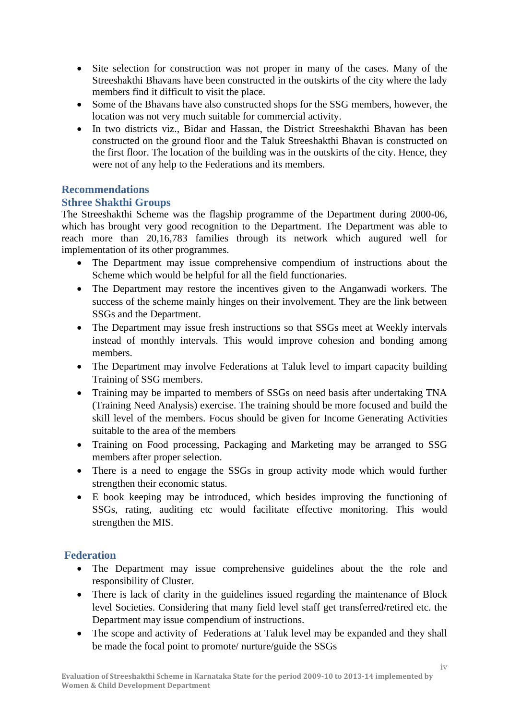- Site selection for construction was not proper in many of the cases. Many of the Streeshakthi Bhavans have been constructed in the outskirts of the city where the lady members find it difficult to visit the place.
- Some of the Bhavans have also constructed shops for the SSG members, however, the location was not very much suitable for commercial activity.
- In two districts viz., Bidar and Hassan, the District Streeshakthi Bhavan has been constructed on the ground floor and the Taluk Streeshakthi Bhavan is constructed on the first floor. The location of the building was in the outskirts of the city. Hence, they were not of any help to the Federations and its members.

## **Recommendations**

## **Sthree Shakthi Groups**

The Streeshakthi Scheme was the flagship programme of the Department during 2000-06, which has brought very good recognition to the Department. The Department was able to reach more than 20,16,783 families through its network which augured well for implementation of its other programmes.

- The Department may issue comprehensive compendium of instructions about the Scheme which would be helpful for all the field functionaries.
- The Department may restore the incentives given to the Anganwadi workers. The success of the scheme mainly hinges on their involvement. They are the link between SSGs and the Department.
- The Department may issue fresh instructions so that SSGs meet at Weekly intervals instead of monthly intervals. This would improve cohesion and bonding among members.
- The Department may involve Federations at Taluk level to impart capacity building Training of SSG members.
- Training may be imparted to members of SSGs on need basis after undertaking TNA (Training Need Analysis) exercise. The training should be more focused and build the skill level of the members. Focus should be given for Income Generating Activities suitable to the area of the members
- Training on Food processing, Packaging and Marketing may be arranged to SSG members after proper selection.
- There is a need to engage the SSGs in group activity mode which would further strengthen their economic status.
- E book keeping may be introduced, which besides improving the functioning of SSGs, rating, auditing etc would facilitate effective monitoring. This would strengthen the MIS.

# **Federation**

- The Department may issue comprehensive guidelines about the the role and responsibility of Cluster.
- There is lack of clarity in the guidelines issued regarding the maintenance of Block level Societies. Considering that many field level staff get transferred/retired etc. the Department may issue compendium of instructions.
- The scope and activity of Federations at Taluk level may be expanded and they shall be made the focal point to promote/ nurture/guide the SSGs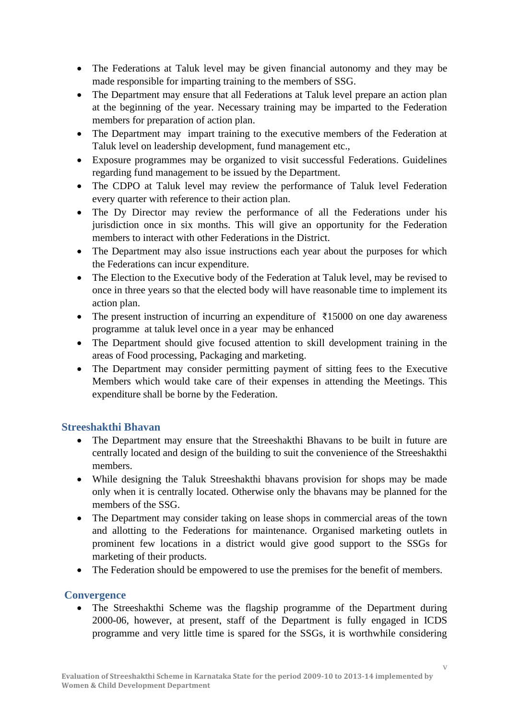- The Federations at Taluk level may be given financial autonomy and they may be made responsible for imparting training to the members of SSG.
- The Department may ensure that all Federations at Taluk level prepare an action plan at the beginning of the year. Necessary training may be imparted to the Federation members for preparation of action plan.
- The Department may impart training to the executive members of the Federation at Taluk level on leadership development, fund management etc.,
- Exposure programmes may be organized to visit successful Federations. Guidelines regarding fund management to be issued by the Department.
- The CDPO at Taluk level may review the performance of Taluk level Federation every quarter with reference to their action plan.
- The Dy Director may review the performance of all the Federations under his jurisdiction once in six months. This will give an opportunity for the Federation members to interact with other Federations in the District.
- The Department may also issue instructions each year about the purposes for which the Federations can incur expenditure.
- The Election to the Executive body of the Federation at Taluk level, may be revised to once in three years so that the elected body will have reasonable time to implement its action plan.
- The present instruction of incurring an expenditure of  $\overline{\xi}$ 15000 on one day awareness programme at taluk level once in a year may be enhanced
- The Department should give focused attention to skill development training in the areas of Food processing, Packaging and marketing.
- The Department may consider permitting payment of sitting fees to the Executive Members which would take care of their expenses in attending the Meetings. This expenditure shall be borne by the Federation.

# **Streeshakthi Bhavan**

- The Department may ensure that the Streeshakthi Bhavans to be built in future are centrally located and design of the building to suit the convenience of the Streeshakthi members.
- While designing the Taluk Streeshakthi bhavans provision for shops may be made only when it is centrally located. Otherwise only the bhavans may be planned for the members of the SSG.
- The Department may consider taking on lease shops in commercial areas of the town and allotting to the Federations for maintenance. Organised marketing outlets in prominent few locations in a district would give good support to the SSGs for marketing of their products.
- The Federation should be empowered to use the premises for the benefit of members.

#### **Convergence**

• The Streeshakthi Scheme was the flagship programme of the Department during 2000-06, however, at present, staff of the Department is fully engaged in ICDS programme and very little time is spared for the SSGs, it is worthwhile considering